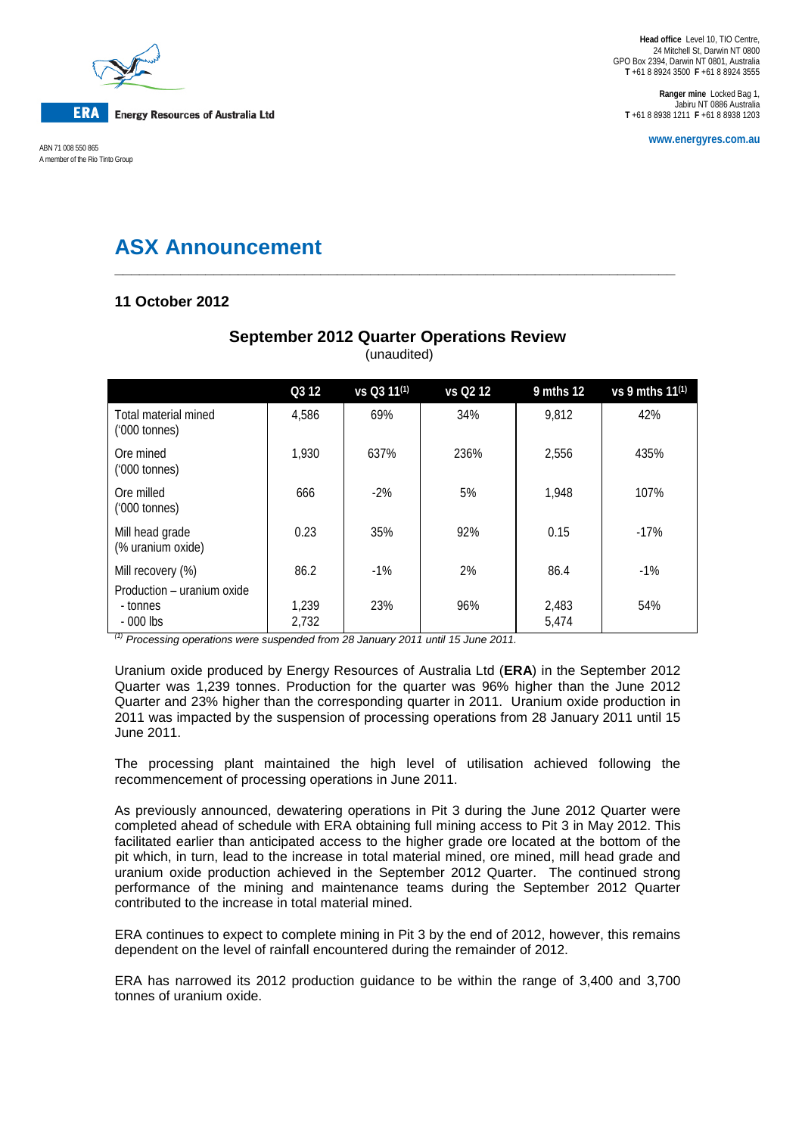

**ERA** 

**Energy Resources of Australia Ltd** 

**www.energyres.com.au** ABN 71 008 550 865 A member of the Rio Tinto Group

**Ranger mine** Locked Bag 1, Jabiru NT 0886 Australia **T** +61 8 8938 1211 **F** +61 8 8938 1203

# **ASX Announcement**

# **11 October 2012**

|                                                      | Q3 12          | vs Q3 11 <sup>(1)</sup> | vs Q2 12 | 9 mths 12      | vs 9 mths $11^{(1)}$ |
|------------------------------------------------------|----------------|-------------------------|----------|----------------|----------------------|
| Total material mined<br>$(000 \text{ tonnes})$       | 4,586          | 69%                     | 34%      | 9,812          | 42%                  |
| Ore mined<br>$(000 \text{ tonnes})$                  | 1,930          | 637%                    | 236%     | 2,556          | 435%                 |
| Ore milled<br>$(000 \text{ tonnes})$                 | 666            | $-2\%$                  | 5%       | 1.948          | 107%                 |
| Mill head grade<br>(% uranium oxide)                 | 0.23           | 35%                     | 92%      | 0.15           | $-17%$               |
| Mill recovery (%)                                    | 86.2           | $-1\%$                  | 2%       | 86.4           | $-1\%$               |
| Production – uranium oxide<br>- tonnes<br>$-000$ lbs | 1,239<br>2,732 | 23%                     | 96%      | 2,483<br>5,474 | 54%                  |

# **September 2012 Quarter Operations Review** (unaudited)

**\_\_\_\_\_\_\_\_\_\_\_\_\_\_\_\_\_\_\_\_\_\_\_\_\_\_\_\_\_\_\_\_\_\_\_\_\_\_\_\_\_\_\_\_\_\_\_\_\_\_\_\_\_\_\_\_\_\_\_\_\_\_\_\_\_\_\_\_**

*(1) Processing operations were suspended from 28 January 2011 until 15 June 2011.*

Uranium oxide produced by Energy Resources of Australia Ltd (**ERA**) in the September 2012 Quarter was 1,239 tonnes. Production for the quarter was 96% higher than the June 2012 Quarter and 23% higher than the corresponding quarter in 2011. Uranium oxide production in 2011 was impacted by the suspension of processing operations from 28 January 2011 until 15 June 2011.

The processing plant maintained the high level of utilisation achieved following the recommencement of processing operations in June 2011.

As previously announced, dewatering operations in Pit 3 during the June 2012 Quarter were completed ahead of schedule with ERA obtaining full mining access to Pit 3 in May 2012. This facilitated earlier than anticipated access to the higher grade ore located at the bottom of the pit which, in turn, lead to the increase in total material mined, ore mined, mill head grade and uranium oxide production achieved in the September 2012 Quarter. The continued strong performance of the mining and maintenance teams during the September 2012 Quarter contributed to the increase in total material mined.

ERA continues to expect to complete mining in Pit 3 by the end of 2012, however, this remains dependent on the level of rainfall encountered during the remainder of 2012.

ERA has narrowed its 2012 production guidance to be within the range of 3,400 and 3,700 tonnes of uranium oxide.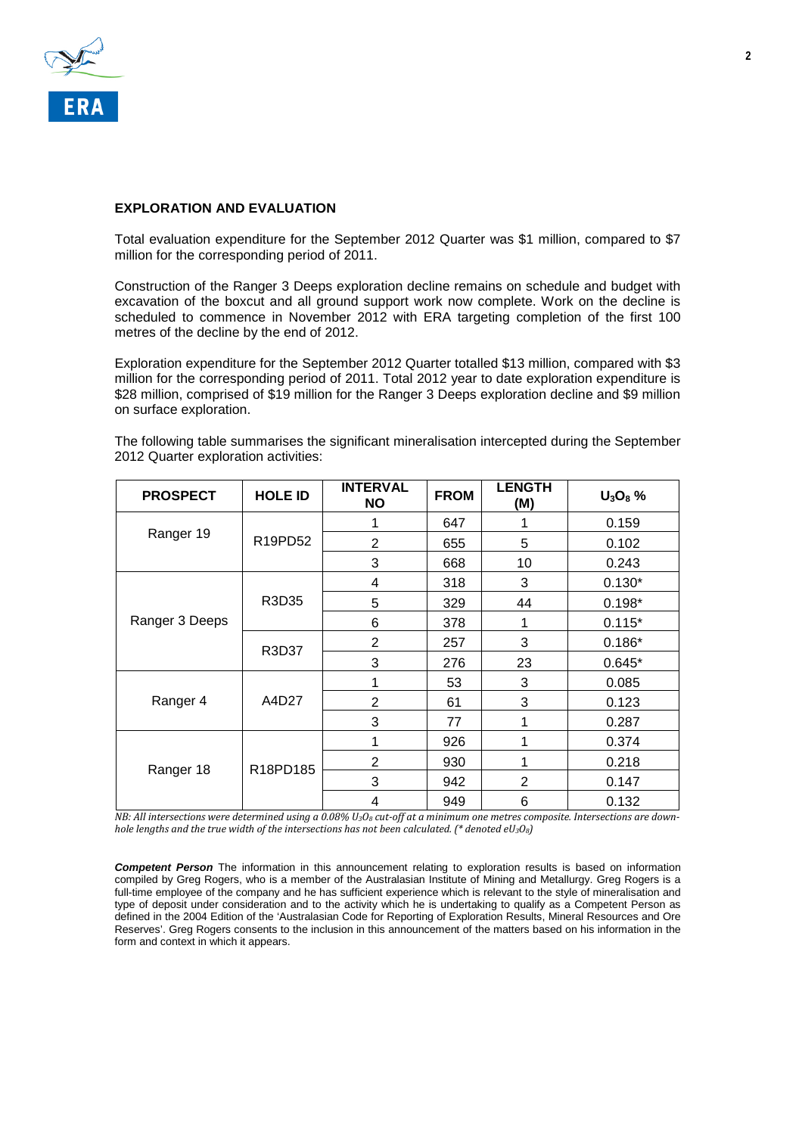

# **EXPLORATION AND EVALUATION**

Total evaluation expenditure for the September 2012 Quarter was \$1 million, compared to \$7 million for the corresponding period of 2011.

Construction of the Ranger 3 Deeps exploration decline remains on schedule and budget with excavation of the boxcut and all ground support work now complete. Work on the decline is scheduled to commence in November 2012 with ERA targeting completion of the first 100 metres of the decline by the end of 2012.

Exploration expenditure for the September 2012 Quarter totalled \$13 million, compared with \$3 million for the corresponding period of 2011. Total 2012 year to date exploration expenditure is \$28 million, comprised of \$19 million for the Ranger 3 Deeps exploration decline and \$9 million on surface exploration.

| <b>PROSPECT</b> | <b>HOLE ID</b> | <b>INTERVAL</b><br><b>NO</b> | <b>FROM</b> | <b>LENGTH</b><br>(M) | $U_3O_8$ % |
|-----------------|----------------|------------------------------|-------------|----------------------|------------|
| Ranger 19       | R19PD52        |                              | 647         | 1                    | 0.159      |
|                 |                | $\overline{2}$               | 655         | 5                    | 0.102      |
|                 |                | 3                            | 668         | 10                   | 0.243      |
| Ranger 3 Deeps  | R3D35          | 4                            | 318         | 3                    | $0.130*$   |
|                 |                | 5                            | 329         | 44                   | $0.198*$   |
|                 |                | 6                            | 378         | 1                    | $0.115*$   |
|                 | R3D37          | $\overline{2}$               | 257         | 3                    | $0.186*$   |
|                 |                | 3                            | 276         | 23                   | $0.645*$   |
| Ranger 4        | A4D27          | 1                            | 53          | 3                    | 0.085      |
|                 |                | $\overline{2}$               | 61          | 3                    | 0.123      |
|                 |                | 3                            | 77          | 1                    | 0.287      |
| Ranger 18       | R18PD185       | 1                            | 926         | 1                    | 0.374      |
|                 |                | $\overline{2}$               | 930         | 1                    | 0.218      |
|                 |                | 3                            | 942         | $\overline{2}$       | 0.147      |
|                 |                | 4                            | 949         | 6                    | 0.132      |

The following table summarises the significant mineralisation intercepted during the September 2012 Quarter exploration activities:

*NB: All intersections were determined using a 0.08% U<sub>3</sub>O<sub>8</sub> cut-off at a minimum one metres composite. Intersections are downhole lengths and the true width of the intersections has not been calculated. (\* denoted eU3O8)*

*Competent Person* The information in this announcement relating to exploration results is based on information compiled by Greg Rogers, who is a member of the Australasian Institute of Mining and Metallurgy. Greg Rogers is a full-time employee of the company and he has sufficient experience which is relevant to the style of mineralisation and type of deposit under consideration and to the activity which he is undertaking to qualify as a Competent Person as defined in the 2004 Edition of the 'Australasian Code for Reporting of Exploration Results, Mineral Resources and Ore Reserves'. Greg Rogers consents to the inclusion in this announcement of the matters based on his information in the form and context in which it appears.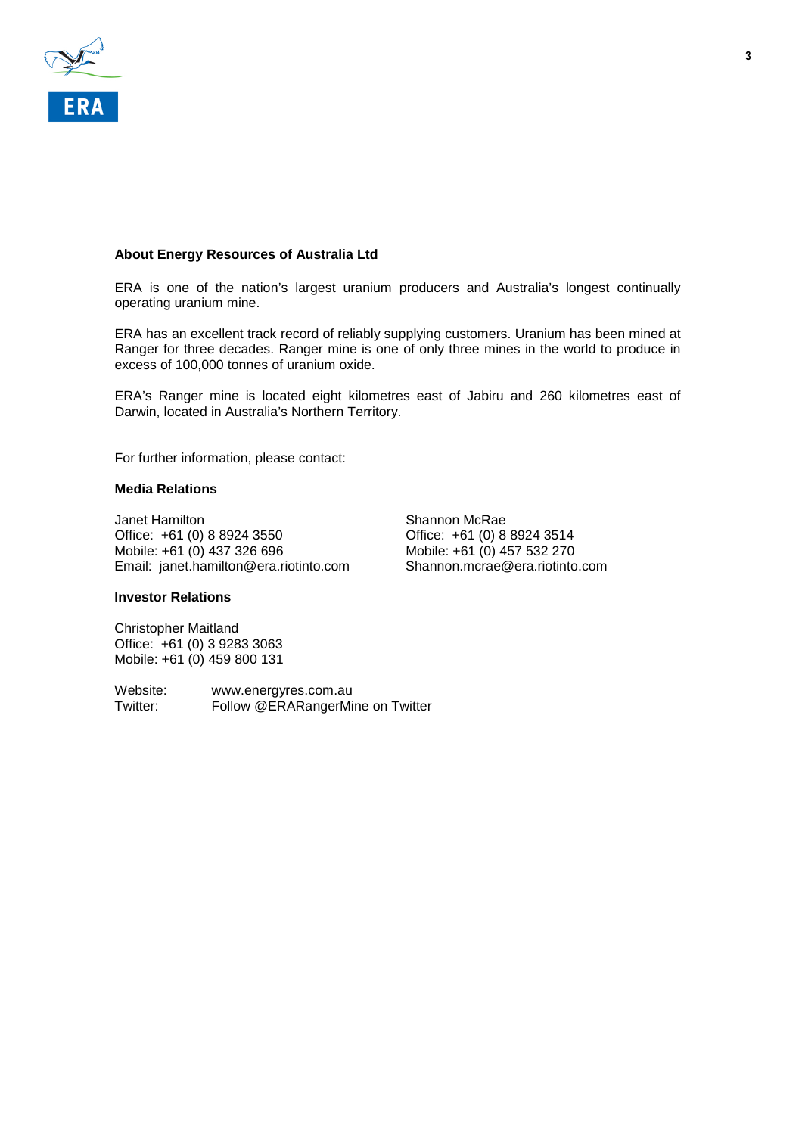

# **About Energy Resources of Australia Ltd**

ERA is one of the nation's largest uranium producers and Australia's longest continually operating uranium mine.

ERA has an excellent track record of reliably supplying customers. Uranium has been mined at Ranger for three decades. Ranger mine is one of only three mines in the world to produce in excess of 100,000 tonnes of uranium oxide.

ERA's Ranger mine is located eight kilometres east of Jabiru and 260 kilometres east of Darwin, located in Australia's Northern Territory.

For further information, please contact:

#### **Media Relations**

Janet Hamilton<br>
Office: +61 (0) 8 8924 3550<br>
Office: +61 (0) 8 8924 3550<br>
Office: +61 (0) 8 8924 3514 Office: +61 (0) 8 8924 3550<br>
Mobile: +61 (0) 437 326 696<br>
Mobile: +61 (0) 457 532 270 Mobile: +61 (0) 437 326 696 Mobile: +61 (0) 457 532 270<br>
Email: ianet.hamilton@era.riotinto.com Shannon.mcrae@era.riotinto.com Email: janet.hamilton@era.riotinto.com

### **Investor Relations**

Christopher Maitland Office: +61 (0) 3 9283 3063 Mobile: +61 (0) 459 800 131

Website: www.energyres.com.au<br>Twitter: Follow @ERARangerMi Follow @ERARangerMine on Twitter